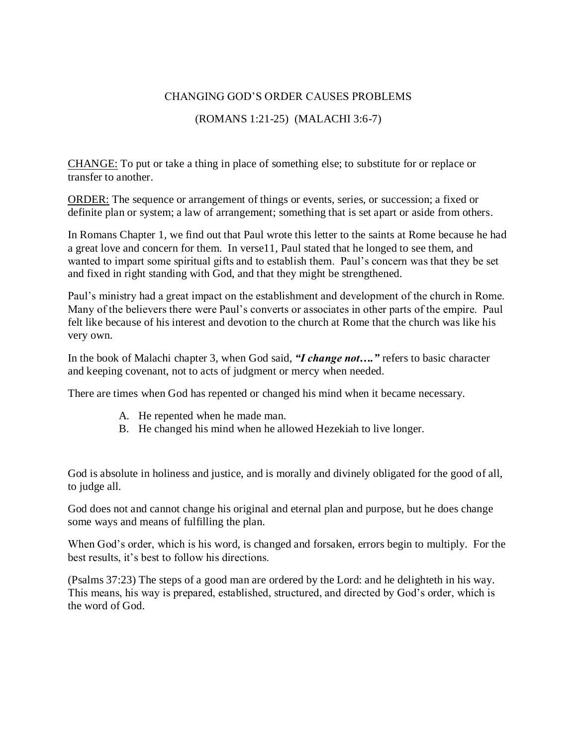## CHANGING GOD'S ORDER CAUSES PROBLEMS

## (ROMANS 1:21-25) (MALACHI 3:6-7)

CHANGE: To put or take a thing in place of something else; to substitute for or replace or transfer to another.

ORDER: The sequence or arrangement of things or events, series, or succession; a fixed or definite plan or system; a law of arrangement; something that is set apart or aside from others.

In Romans Chapter 1, we find out that Paul wrote this letter to the saints at Rome because he had a great love and concern for them. In verse11, Paul stated that he longed to see them, and wanted to impart some spiritual gifts and to establish them. Paul's concern was that they be set and fixed in right standing with God, and that they might be strengthened.

Paul's ministry had a great impact on the establishment and development of the church in Rome. Many of the believers there were Paul's converts or associates in other parts of the empire. Paul felt like because of his interest and devotion to the church at Rome that the church was like his very own.

In the book of Malachi chapter 3, when God said, *"I change not…."* refers to basic character and keeping covenant, not to acts of judgment or mercy when needed.

There are times when God has repented or changed his mind when it became necessary.

- A. He repented when he made man.
- B. He changed his mind when he allowed Hezekiah to live longer.

God is absolute in holiness and justice, and is morally and divinely obligated for the good of all, to judge all.

God does not and cannot change his original and eternal plan and purpose, but he does change some ways and means of fulfilling the plan.

When God's order, which is his word, is changed and forsaken, errors begin to multiply. For the best results, it's best to follow his directions.

(Psalms 37:23) The steps of a good man are ordered by the Lord: and he delighteth in his way. This means, his way is prepared, established, structured, and directed by God's order, which is the word of God.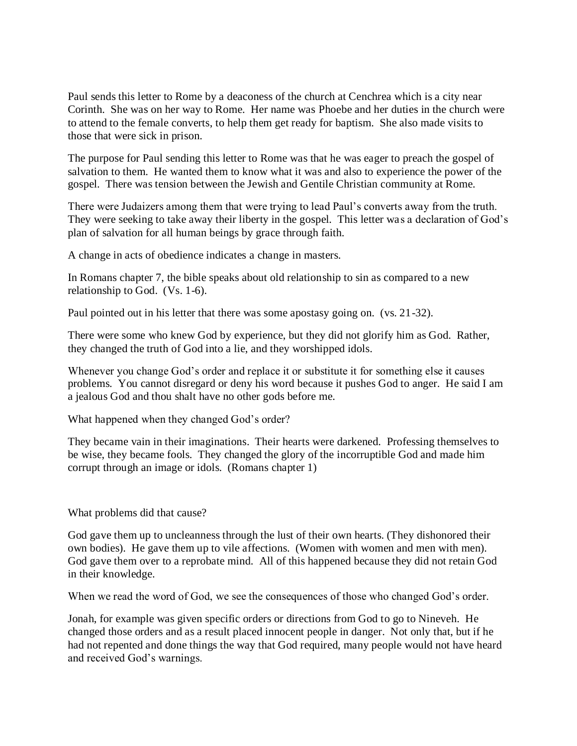Paul sends this letter to Rome by a deaconess of the church at Cenchrea which is a city near Corinth. She was on her way to Rome. Her name was Phoebe and her duties in the church were to attend to the female converts, to help them get ready for baptism. She also made visits to those that were sick in prison.

The purpose for Paul sending this letter to Rome was that he was eager to preach the gospel of salvation to them. He wanted them to know what it was and also to experience the power of the gospel. There was tension between the Jewish and Gentile Christian community at Rome.

There were Judaizers among them that were trying to lead Paul's converts away from the truth. They were seeking to take away their liberty in the gospel. This letter was a declaration of God's plan of salvation for all human beings by grace through faith.

A change in acts of obedience indicates a change in masters.

In Romans chapter 7, the bible speaks about old relationship to sin as compared to a new relationship to God. (Vs. 1-6).

Paul pointed out in his letter that there was some apostasy going on. (vs. 21-32).

There were some who knew God by experience, but they did not glorify him as God. Rather, they changed the truth of God into a lie, and they worshipped idols.

Whenever you change God's order and replace it or substitute it for something else it causes problems. You cannot disregard or deny his word because it pushes God to anger. He said I am a jealous God and thou shalt have no other gods before me.

What happened when they changed God's order?

They became vain in their imaginations. Their hearts were darkened. Professing themselves to be wise, they became fools. They changed the glory of the incorruptible God and made him corrupt through an image or idols. (Romans chapter 1)

What problems did that cause?

God gave them up to uncleanness through the lust of their own hearts. (They dishonored their own bodies). He gave them up to vile affections. (Women with women and men with men). God gave them over to a reprobate mind. All of this happened because they did not retain God in their knowledge.

When we read the word of God, we see the consequences of those who changed God's order.

Jonah, for example was given specific orders or directions from God to go to Nineveh. He changed those orders and as a result placed innocent people in danger. Not only that, but if he had not repented and done things the way that God required, many people would not have heard and received God's warnings.